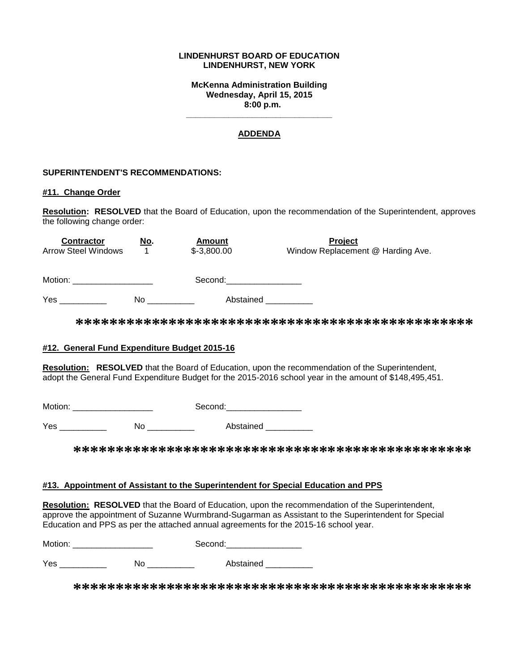#### **LINDENHURST BOARD OF EDUCATION LINDENHURST, NEW YORK**

**McKenna Administration Building Wednesday, April 15, 2015 8:00 p.m.**

### **ADDENDA**

**\_\_\_\_\_\_\_\_\_\_\_\_\_\_\_\_\_\_\_\_\_\_\_\_\_\_\_\_\_\_\_**

#### **SUPERINTENDENT'S RECOMMENDATIONS:**

#### **#11. Change Order**

**Resolution: RESOLVED** that the Board of Education, upon the recommendation of the Superintendent, approves the following change order:

| <b>Contractor</b>          | <u>No.</u> | <b>Amount</b> | Project                           |  |  |
|----------------------------|------------|---------------|-----------------------------------|--|--|
| <b>Arrow Steel Windows</b> |            | $$-3,800.00$  | Window Replacement @ Harding Ave. |  |  |
|                            |            |               |                                   |  |  |
| Motion:                    |            | Second:       |                                   |  |  |
| Yes                        | No         | Abstained     |                                   |  |  |

**\*\*\*\*\*\*\*\*\*\*\*\*\*\*\*\*\*\*\*\*\*\*\*\*\*\*\*\*\*\*\*\*\*\*\*\*\*\*\*\*\*\*\*\*\*\*\***

#### **#12. General Fund Expenditure Budget 2015-16**

**Resolution: RESOLVED** that the Board of Education, upon the recommendation of the Superintendent, adopt the General Fund Expenditure Budget for the 2015-2016 school year in the amount of \$148,495,451.

Motion: \_\_\_\_\_\_\_\_\_\_\_\_\_\_\_\_\_ Second:\_\_\_\_\_\_\_\_\_\_\_\_\_\_\_\_

Yes \_\_\_\_\_\_\_\_\_\_\_\_\_ No \_\_\_\_\_\_\_\_\_\_ Abstained

**\*\*\*\*\*\*\*\*\*\*\*\*\*\*\*\*\*\*\*\*\*\*\*\*\*\*\*\*\*\*\*\*\*\*\*\*\*\*\*\*\*\*\*\*\*\*\***

#### **#13. Appointment of Assistant to the Superintendent for Special Education and PPS**

**Resolution: RESOLVED** that the Board of Education, upon the recommendation of the Superintendent, approve the appointment of Suzanne Wurmbrand-Sugarman as Assistant to the Superintendent for Special Education and PPS as per the attached annual agreements for the 2015-16 school year.

| Motion <sup>.</sup> | Second. |  |  |
|---------------------|---------|--|--|
|                     |         |  |  |

Yes \_\_\_\_\_\_\_\_\_\_ No \_\_\_\_\_\_\_\_\_\_ Abstained \_\_\_\_\_\_\_\_\_\_

**\*\*\*\*\*\*\*\*\*\*\*\*\*\*\*\*\*\*\*\*\*\*\*\*\*\*\*\*\*\*\*\*\*\*\*\*\*\*\*\*\*\*\*\*\*\*\***